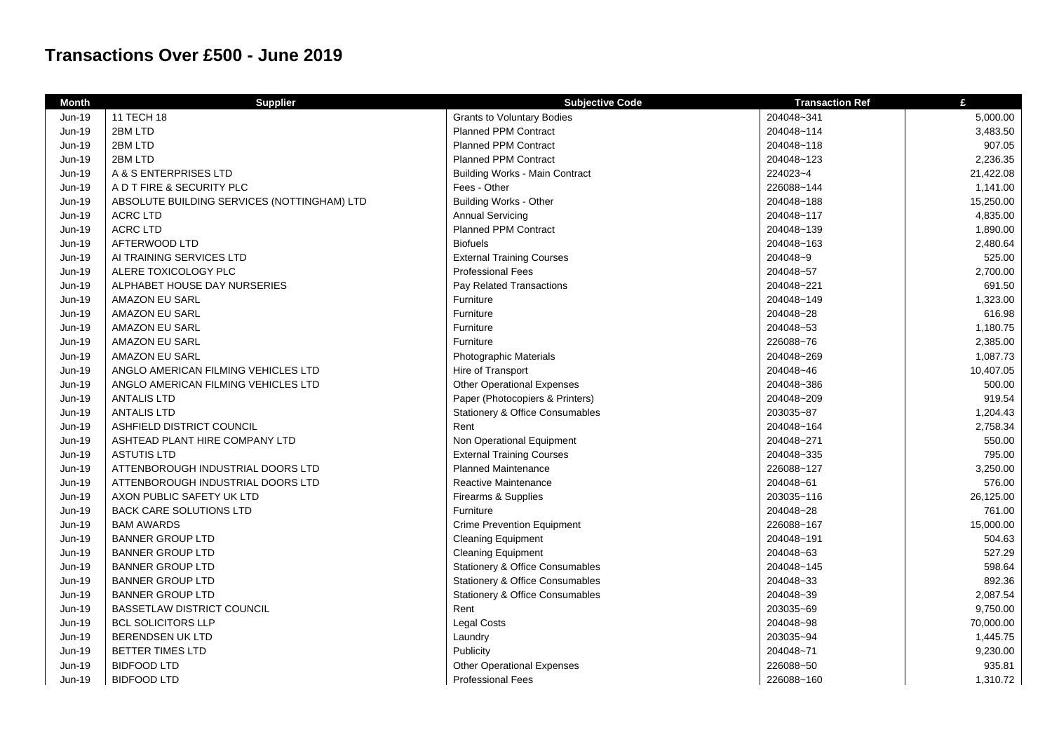## **Transactions Over £500 - June 2019**

| <b>Month</b>  | <b>Supplier</b>                             | <b>Subjective Code</b>                     | <b>Transaction Ref</b> | £         |
|---------------|---------------------------------------------|--------------------------------------------|------------------------|-----------|
| <b>Jun-19</b> | 11 TECH 18                                  | <b>Grants to Voluntary Bodies</b>          | 204048~341             | 5,000.00  |
| Jun-19        | 2BM LTD                                     | <b>Planned PPM Contract</b>                | 204048~114             | 3,483.50  |
| Jun-19        | 2BM LTD                                     | <b>Planned PPM Contract</b>                | 204048~118             | 907.05    |
| Jun-19        | 2BM LTD                                     | <b>Planned PPM Contract</b>                | 204048~123             | 2,236.35  |
| Jun-19        | A & S ENTERPRISES LTD                       | <b>Building Works - Main Contract</b>      | 224023~4               | 21,422.08 |
| Jun-19        | A D T FIRE & SECURITY PLC                   | Fees - Other                               | 226088~144             | 1,141.00  |
| Jun-19        | ABSOLUTE BUILDING SERVICES (NOTTINGHAM) LTD | <b>Building Works - Other</b>              | 204048~188             | 15,250.00 |
| Jun-19        | <b>ACRC LTD</b>                             | <b>Annual Servicing</b>                    | 204048~117             | 4,835.00  |
| Jun-19        | <b>ACRC LTD</b>                             | <b>Planned PPM Contract</b>                | 204048~139             | 1,890.00  |
| Jun-19        | AFTERWOOD LTD                               | <b>Biofuels</b>                            | 204048~163             | 2,480.64  |
| Jun-19        | AI TRAINING SERVICES LTD                    | <b>External Training Courses</b>           | 204048~9               | 525.00    |
| Jun-19        | ALERE TOXICOLOGY PLC                        | <b>Professional Fees</b>                   | 204048~57              | 2,700.00  |
| Jun-19        | ALPHABET HOUSE DAY NURSERIES                | Pay Related Transactions                   | 204048~221             | 691.50    |
| Jun-19        | AMAZON EU SARL                              | Furniture                                  | 204048~149             | 1,323.00  |
| Jun-19        | AMAZON EU SARL                              | Furniture                                  | 204048~28              | 616.98    |
| Jun-19        | AMAZON EU SARL                              | Furniture                                  | 204048~53              | 1,180.75  |
| Jun-19        | AMAZON EU SARL                              | Furniture                                  | 226088~76              | 2,385.00  |
| Jun-19        | AMAZON EU SARL                              | Photographic Materials                     | 204048~269             | 1,087.73  |
| Jun-19        | ANGLO AMERICAN FILMING VEHICLES LTD         | Hire of Transport                          | 204048~46              | 10,407.05 |
| <b>Jun-19</b> | ANGLO AMERICAN FILMING VEHICLES LTD         | <b>Other Operational Expenses</b>          | 204048~386             | 500.00    |
| Jun-19        | <b>ANTALIS LTD</b>                          | Paper (Photocopiers & Printers)            | 204048~209             | 919.54    |
| Jun-19        | <b>ANTALIS LTD</b>                          | <b>Stationery &amp; Office Consumables</b> | 203035~87              | 1,204.43  |
| Jun-19        | ASHFIELD DISTRICT COUNCIL                   | Rent                                       | 204048~164             | 2,758.34  |
| Jun-19        | ASHTEAD PLANT HIRE COMPANY LTD              | Non Operational Equipment                  | 204048~271             | 550.00    |
| Jun-19        | <b>ASTUTIS LTD</b>                          | <b>External Training Courses</b>           | 204048~335             | 795.00    |
| Jun-19        | ATTENBOROUGH INDUSTRIAL DOORS LTD           | <b>Planned Maintenance</b>                 | 226088~127             | 3,250.00  |
| Jun-19        | ATTENBOROUGH INDUSTRIAL DOORS LTD           | Reactive Maintenance                       | 204048~61              | 576.00    |
| Jun-19        | AXON PUBLIC SAFETY UK LTD                   | Firearms & Supplies                        | 203035~116             | 26,125.00 |
| Jun-19        | BACK CARE SOLUTIONS LTD                     | Furniture                                  | 204048~28              | 761.00    |
| Jun-19        | <b>BAM AWARDS</b>                           | <b>Crime Prevention Equipment</b>          | 226088~167             | 15,000.00 |
| Jun-19        | <b>BANNER GROUP LTD</b>                     | <b>Cleaning Equipment</b>                  | 204048~191             | 504.63    |
| Jun-19        | <b>BANNER GROUP LTD</b>                     | <b>Cleaning Equipment</b>                  | 204048~63              | 527.29    |
| Jun-19        | <b>BANNER GROUP LTD</b>                     | <b>Stationery &amp; Office Consumables</b> | 204048~145             | 598.64    |
| Jun-19        | <b>BANNER GROUP LTD</b>                     | <b>Stationery &amp; Office Consumables</b> | 204048~33              | 892.36    |
| Jun-19        | <b>BANNER GROUP LTD</b>                     | <b>Stationery &amp; Office Consumables</b> | 204048~39              | 2,087.54  |
| Jun-19        | <b>BASSETLAW DISTRICT COUNCIL</b>           | Rent                                       | 203035~69              | 9,750.00  |
| Jun-19        | <b>BCL SOLICITORS LLP</b>                   | <b>Legal Costs</b>                         | 204048~98              | 70,000.00 |
| <b>Jun-19</b> | <b>BERENDSEN UK LTD</b>                     | Laundry                                    | 203035~94              | 1,445.75  |
| Jun-19        | <b>BETTER TIMES LTD</b>                     | Publicity                                  | 204048~71              | 9,230.00  |
| Jun-19        | <b>BIDFOOD LTD</b>                          | <b>Other Operational Expenses</b>          | 226088~50              | 935.81    |
| Jun-19        | <b>BIDFOOD LTD</b>                          | <b>Professional Fees</b>                   | 226088~160             | 1,310.72  |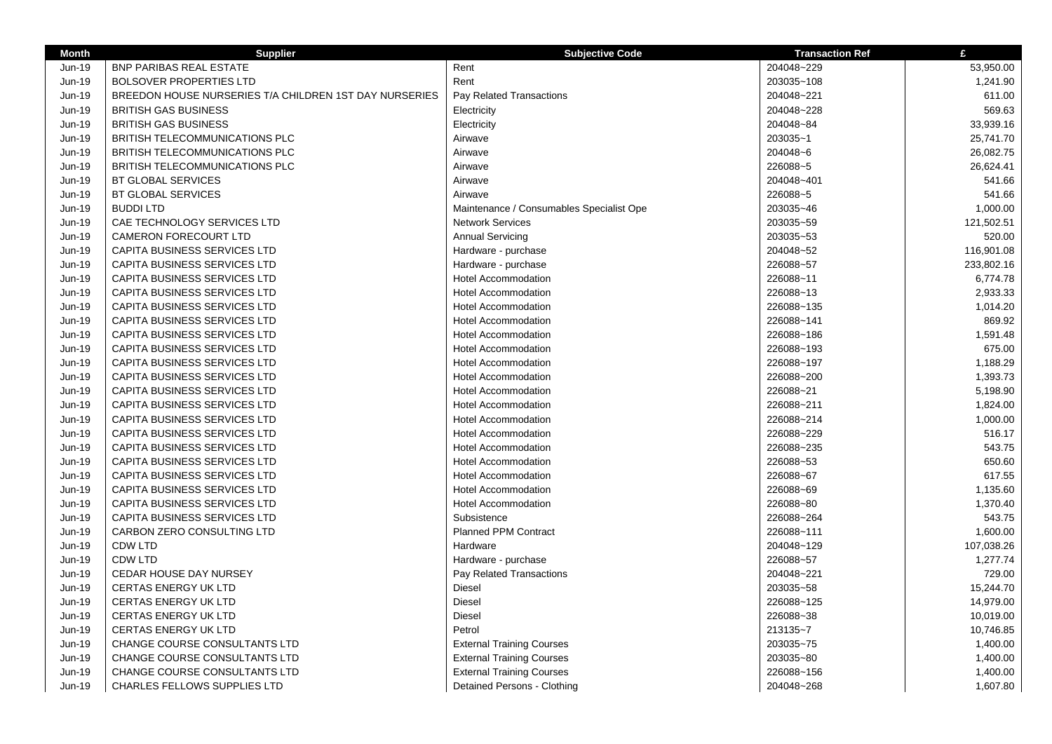| <b>Month</b> | <b>Supplier</b>                                        | <b>Subjective Code</b>                   | <b>Transaction Ref</b> | £          |
|--------------|--------------------------------------------------------|------------------------------------------|------------------------|------------|
| Jun-19       | <b>BNP PARIBAS REAL ESTATE</b>                         | Rent                                     | 204048~229             | 53,950.00  |
| Jun-19       | <b>BOLSOVER PROPERTIES LTD</b>                         | Rent                                     | 203035~108             | 1,241.90   |
| Jun-19       | BREEDON HOUSE NURSERIES T/A CHILDREN 1ST DAY NURSERIES | <b>Pay Related Transactions</b>          | 204048~221             | 611.00     |
| Jun-19       | <b>BRITISH GAS BUSINESS</b>                            | Electricity                              | 204048~228             | 569.63     |
| Jun-19       | <b>BRITISH GAS BUSINESS</b>                            | Electricity                              | 204048~84              | 33,939.16  |
| Jun-19       | BRITISH TELECOMMUNICATIONS PLC                         | Airwave                                  | 203035~1               | 25,741.70  |
| Jun-19       | <b>BRITISH TELECOMMUNICATIONS PLC</b>                  | Airwave                                  | 204048~6               | 26.082.75  |
| Jun-19       | BRITISH TELECOMMUNICATIONS PLC                         | Airwave                                  | 226088~5               | 26,624.41  |
| Jun-19       | <b>BT GLOBAL SERVICES</b>                              | Airwave                                  | 204048~401             | 541.66     |
| Jun-19       | <b>BT GLOBAL SERVICES</b>                              | Airwave                                  | 226088~5               | 541.66     |
| Jun-19       | <b>BUDDILTD</b>                                        | Maintenance / Consumables Specialist Ope | 203035~46              | 1,000.00   |
| Jun-19       | CAE TECHNOLOGY SERVICES LTD                            | <b>Network Services</b>                  | 203035~59              | 121,502.51 |
| Jun-19       | <b>CAMERON FORECOURT LTD</b>                           | <b>Annual Servicing</b>                  | 203035~53              | 520.00     |
| Jun-19       | CAPITA BUSINESS SERVICES LTD                           | Hardware - purchase                      | 204048~52              | 116,901.08 |
| Jun-19       | CAPITA BUSINESS SERVICES LTD                           | Hardware - purchase                      | 226088~57              | 233,802.16 |
| Jun-19       | CAPITA BUSINESS SERVICES LTD                           | <b>Hotel Accommodation</b>               | 226088~11              | 6,774.78   |
| Jun-19       | CAPITA BUSINESS SERVICES LTD                           | <b>Hotel Accommodation</b>               | 226088~13              | 2,933.33   |
| Jun-19       | CAPITA BUSINESS SERVICES LTD                           | <b>Hotel Accommodation</b>               | 226088~135             | 1,014.20   |
| Jun-19       | CAPITA BUSINESS SERVICES LTD                           | <b>Hotel Accommodation</b>               | 226088~141             | 869.92     |
| Jun-19       | CAPITA BUSINESS SERVICES LTD                           | <b>Hotel Accommodation</b>               | 226088~186             | 1,591.48   |
| Jun-19       | CAPITA BUSINESS SERVICES LTD                           | <b>Hotel Accommodation</b>               | 226088~193             | 675.00     |
| Jun-19       | CAPITA BUSINESS SERVICES LTD                           | <b>Hotel Accommodation</b>               | 226088~197             | 1,188.29   |
| Jun-19       | CAPITA BUSINESS SERVICES LTD                           | Hotel Accommodation                      | 226088~200             | 1,393.73   |
| Jun-19       | CAPITA BUSINESS SERVICES LTD                           | <b>Hotel Accommodation</b>               | 226088~21              | 5,198.90   |
| Jun-19       | CAPITA BUSINESS SERVICES LTD                           | <b>Hotel Accommodation</b>               | 226088~211             | 1,824.00   |
| Jun-19       | CAPITA BUSINESS SERVICES LTD                           | <b>Hotel Accommodation</b>               | 226088~214             | 1,000.00   |
| Jun-19       | <b>CAPITA BUSINESS SERVICES LTD</b>                    | Hotel Accommodation                      | 226088~229             | 516.17     |
| Jun-19       | <b>CAPITA BUSINESS SERVICES LTD</b>                    | <b>Hotel Accommodation</b>               | 226088~235             | 543.75     |
| Jun-19       | <b>CAPITA BUSINESS SERVICES LTD</b>                    | <b>Hotel Accommodation</b>               | 226088~53              | 650.60     |
| Jun-19       | CAPITA BUSINESS SERVICES LTD                           | <b>Hotel Accommodation</b>               | 226088~67              | 617.55     |
| Jun-19       | <b>CAPITA BUSINESS SERVICES LTD</b>                    | <b>Hotel Accommodation</b>               | 226088~69              | 1,135.60   |
| Jun-19       | <b>CAPITA BUSINESS SERVICES LTD</b>                    | Hotel Accommodation                      | 226088~80              | 1,370.40   |
| Jun-19       | CAPITA BUSINESS SERVICES LTD                           | Subsistence                              | 226088~264             | 543.75     |
| Jun-19       | CARBON ZERO CONSULTING LTD                             | <b>Planned PPM Contract</b>              | 226088~111             | 1,600.00   |
| Jun-19       | <b>CDW LTD</b>                                         | Hardware                                 | 204048~129             | 107,038.26 |
| Jun-19       | <b>CDW LTD</b>                                         | Hardware - purchase                      | 226088~57              | 1,277.74   |
| Jun-19       | CEDAR HOUSE DAY NURSEY                                 | Pay Related Transactions                 | 204048~221             | 729.00     |
| Jun-19       | <b>CERTAS ENERGY UK LTD</b>                            | Diesel                                   | 203035~58              | 15,244.70  |
| Jun-19       | <b>CERTAS ENERGY UK LTD</b>                            | Diesel                                   | 226088~125             | 14,979.00  |
| Jun-19       | <b>CERTAS ENERGY UK LTD</b>                            | Diesel                                   | 226088~38              | 10,019.00  |
| Jun-19       | CERTAS ENERGY UK LTD                                   | Petrol                                   | 213135~7               | 10,746.85  |
| Jun-19       | CHANGE COURSE CONSULTANTS LTD                          | <b>External Training Courses</b>         | 203035~75              | 1,400.00   |
| Jun-19       | CHANGE COURSE CONSULTANTS LTD                          | <b>External Training Courses</b>         | 203035~80              | 1,400.00   |
| Jun-19       | CHANGE COURSE CONSULTANTS LTD                          | <b>External Training Courses</b>         | 226088~156             | 1,400.00   |
| Jun-19       | <b>CHARLES FELLOWS SUPPLIES LTD</b>                    | Detained Persons - Clothing              | 204048~268             | 1,607.80   |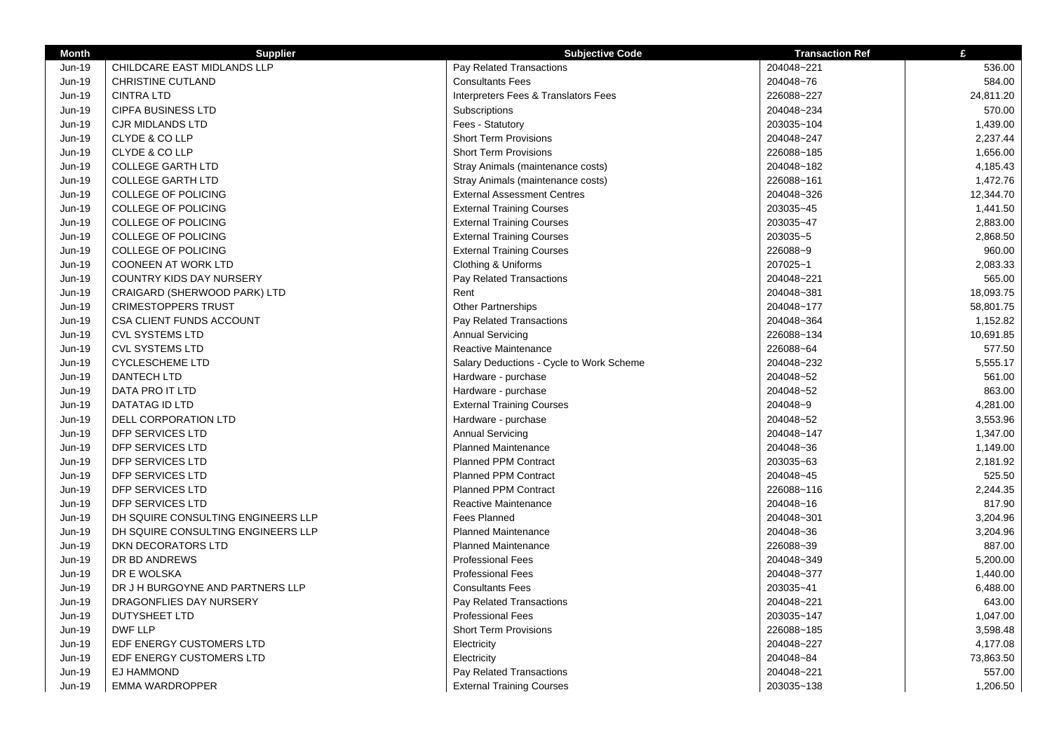| <b>Month</b>  | <b>Supplier</b>                    | <b>Subjective Code</b>                   | <b>Transaction Ref</b> | $\mathbf{f}$ |
|---------------|------------------------------------|------------------------------------------|------------------------|--------------|
| Jun-19        | CHILDCARE EAST MIDLANDS LLP        | Pay Related Transactions                 | 204048~221             | 536.00       |
| Jun-19        | <b>CHRISTINE CUTLAND</b>           | <b>Consultants Fees</b>                  | 204048~76              | 584.00       |
| Jun-19        | <b>CINTRA LTD</b>                  | Interpreters Fees & Translators Fees     | 226088~227             | 24,811.20    |
| Jun-19        | <b>CIPFA BUSINESS LTD</b>          | Subscriptions                            | 204048~234             | 570.00       |
| Jun-19        | <b>CJR MIDLANDS LTD</b>            | Fees - Statutory                         | 203035~104             | 1,439.00     |
| Jun-19        | CLYDE & CO LLP                     | <b>Short Term Provisions</b>             | 204048~247             | 2,237.44     |
| Jun-19        | CLYDE & CO LLP                     | <b>Short Term Provisions</b>             | 226088~185             | 1,656.00     |
| Jun-19        | <b>COLLEGE GARTH LTD</b>           | Stray Animals (maintenance costs)        | 204048~182             | 4,185.43     |
| <b>Jun-19</b> | <b>COLLEGE GARTH LTD</b>           | Stray Animals (maintenance costs)        | 226088~161             | 1,472.76     |
| Jun-19        | COLLEGE OF POLICING                | <b>External Assessment Centres</b>       | 204048~326             | 12,344.70    |
| Jun-19        | COLLEGE OF POLICING                | <b>External Training Courses</b>         | 203035~45              | 1,441.50     |
| Jun-19        | <b>COLLEGE OF POLICING</b>         | <b>External Training Courses</b>         | 203035~47              | 2,883.00     |
| Jun-19        | COLLEGE OF POLICING                | <b>External Training Courses</b>         | 203035~5               | 2,868.50     |
| Jun-19        | <b>COLLEGE OF POLICING</b>         | <b>External Training Courses</b>         | 226088~9               | 960.00       |
| Jun-19        | <b>COONEEN AT WORK LTD</b>         | Clothing & Uniforms                      | 207025~1               | 2,083.33     |
| Jun-19        | <b>COUNTRY KIDS DAY NURSERY</b>    | Pay Related Transactions                 | 204048~221             | 565.00       |
| Jun-19        | CRAIGARD (SHERWOOD PARK) LTD       | Rent                                     | 204048~381             | 18,093.75    |
| Jun-19        | <b>CRIMESTOPPERS TRUST</b>         | <b>Other Partnerships</b>                | 204048~177             | 58,801.75    |
| Jun-19        | <b>CSA CLIENT FUNDS ACCOUNT</b>    | Pay Related Transactions                 | 204048~364             | 1,152.82     |
| Jun-19        | <b>CVL SYSTEMS LTD</b>             | <b>Annual Servicing</b>                  | 226088~134             | 10,691.85    |
| Jun-19        | <b>CVL SYSTEMS LTD</b>             | Reactive Maintenance                     | 226088~64              | 577.50       |
| Jun-19        | <b>CYCLESCHEME LTD</b>             | Salary Deductions - Cycle to Work Scheme | 204048~232             | 5,555.17     |
| Jun-19        | <b>DANTECH LTD</b>                 | Hardware - purchase                      | 204048~52              | 561.00       |
| Jun-19        | DATA PRO IT LTD                    | Hardware - purchase                      | 204048~52              | 863.00       |
| Jun-19        | DATATAG ID LTD                     | <b>External Training Courses</b>         | 204048~9               | 4,281.00     |
| Jun-19        | DELL CORPORATION LTD               | Hardware - purchase                      | 204048~52              | 3,553.96     |
| Jun-19        | DFP SERVICES LTD                   | <b>Annual Servicing</b>                  | 204048~147             | 1,347.00     |
| Jun-19        | DFP SERVICES LTD                   | <b>Planned Maintenance</b>               | 204048~36              | 1,149.00     |
| Jun-19        | DFP SERVICES LTD                   | <b>Planned PPM Contract</b>              | 203035~63              | 2,181.92     |
| Jun-19        | DFP SERVICES LTD                   | <b>Planned PPM Contract</b>              | 204048~45              | 525.50       |
| Jun-19        | DFP SERVICES LTD                   | <b>Planned PPM Contract</b>              | 226088~116             | 2,244.35     |
| Jun-19        | <b>DFP SERVICES LTD</b>            | Reactive Maintenance                     | 204048~16              | 817.90       |
| Jun-19        | DH SQUIRE CONSULTING ENGINEERS LLP | Fees Planned                             | 204048~301             | 3,204.96     |
| Jun-19        | DH SQUIRE CONSULTING ENGINEERS LLP | <b>Planned Maintenance</b>               | 204048~36              | 3,204.96     |
| Jun-19        | DKN DECORATORS LTD                 | <b>Planned Maintenance</b>               | 226088~39              | 887.00       |
| Jun-19        | DR BD ANDREWS                      | <b>Professional Fees</b>                 | 204048~349             | 5,200.00     |
| Jun-19        | DR E WOLSKA                        | <b>Professional Fees</b>                 | 204048~377             | 1,440.00     |
| Jun-19        | DR J H BURGOYNE AND PARTNERS LLP   | <b>Consultants Fees</b>                  | 203035~41              | 6,488.00     |
| Jun-19        | DRAGONFLIES DAY NURSERY            | Pay Related Transactions                 | 204048~221             | 643.00       |
| Jun-19        | DUTYSHEET LTD                      | <b>Professional Fees</b>                 | 203035~147             | 1,047.00     |
| Jun-19        | <b>DWF LLP</b>                     | <b>Short Term Provisions</b>             | 226088~185             | 3,598.48     |
| Jun-19        | EDF ENERGY CUSTOMERS LTD           | Electricity                              | 204048~227             | 4,177.08     |
| Jun-19        | EDF ENERGY CUSTOMERS LTD           | Electricity                              | 204048~84              | 73,863.50    |
| Jun-19        | <b>EJ HAMMOND</b>                  | Pay Related Transactions                 | 204048~221             | 557.00       |
| Jun-19        | <b>EMMA WARDROPPER</b>             | <b>External Training Courses</b>         | 203035~138             | 1,206.50     |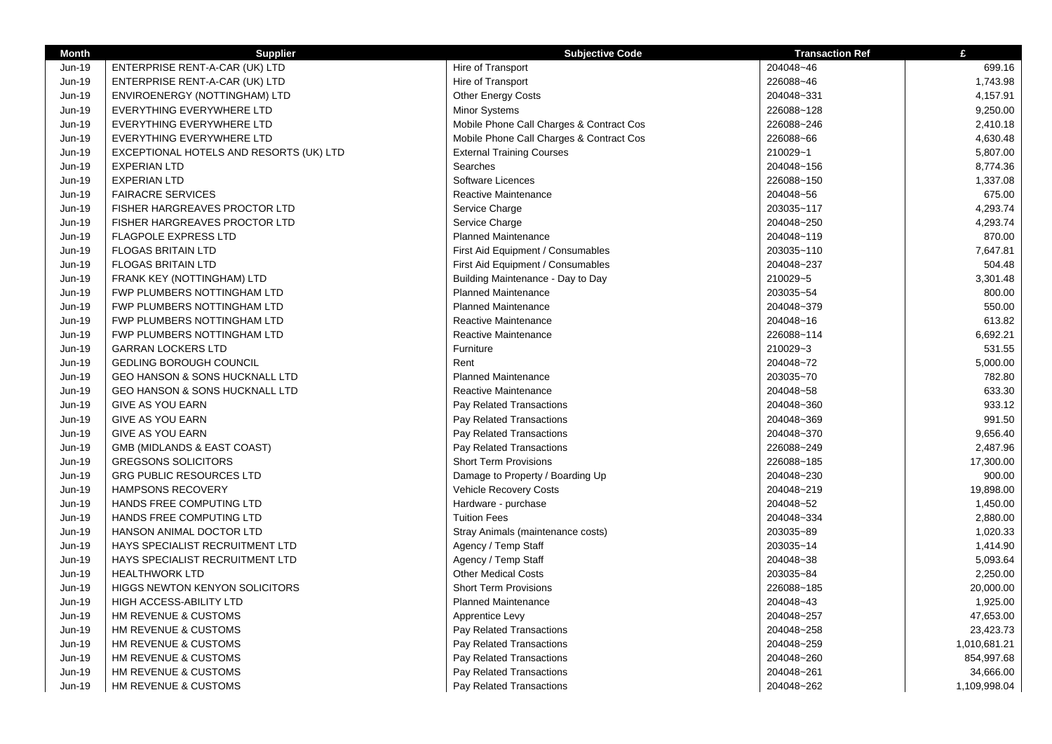| <b>Month</b> | <b>Supplier</b>                           | <b>Subjective Code</b>                   | <b>Transaction Ref</b> | £            |
|--------------|-------------------------------------------|------------------------------------------|------------------------|--------------|
| Jun-19       | ENTERPRISE RENT-A-CAR (UK) LTD            | Hire of Transport                        | 204048~46              | 699.16       |
| Jun-19       | ENTERPRISE RENT-A-CAR (UK) LTD            | Hire of Transport                        | 226088~46              | 1,743.98     |
| Jun-19       | ENVIROENERGY (NOTTINGHAM) LTD             | <b>Other Energy Costs</b>                | 204048~331             | 4,157.91     |
| Jun-19       | EVERYTHING EVERYWHERE LTD                 | <b>Minor Systems</b>                     | 226088~128             | 9,250.00     |
| Jun-19       | EVERYTHING EVERYWHERE LTD                 | Mobile Phone Call Charges & Contract Cos | 226088~246             | 2,410.18     |
| Jun-19       | EVERYTHING EVERYWHERE LTD                 | Mobile Phone Call Charges & Contract Cos | 226088~66              | 4,630.48     |
| Jun-19       | EXCEPTIONAL HOTELS AND RESORTS (UK) LTD   | <b>External Training Courses</b>         | 210029~1               | 5,807.00     |
| Jun-19       | <b>EXPERIAN LTD</b>                       | Searches                                 | 204048~156             | 8,774.36     |
| Jun-19       | <b>EXPERIAN LTD</b>                       | Software Licences                        | 226088~150             | 1,337.08     |
| Jun-19       | <b>FAIRACRE SERVICES</b>                  | Reactive Maintenance                     | 204048~56              | 675.00       |
| Jun-19       | FISHER HARGREAVES PROCTOR LTD             | Service Charge                           | 203035~117             | 4,293.74     |
| Jun-19       | FISHER HARGREAVES PROCTOR LTD             | Service Charge                           | 204048~250             | 4,293.74     |
| Jun-19       | <b>FLAGPOLE EXPRESS LTD</b>               | <b>Planned Maintenance</b>               | 204048~119             | 870.00       |
| Jun-19       | <b>FLOGAS BRITAIN LTD</b>                 | First Aid Equipment / Consumables        | 203035~110             | 7,647.81     |
| Jun-19       | <b>FLOGAS BRITAIN LTD</b>                 | First Aid Equipment / Consumables        | 204048~237             | 504.48       |
| Jun-19       | FRANK KEY (NOTTINGHAM) LTD                | Building Maintenance - Day to Day        | 210029~5               | 3,301.48     |
| Jun-19       | FWP PLUMBERS NOTTINGHAM LTD               | <b>Planned Maintenance</b>               | 203035~54              | 800.00       |
| Jun-19       | FWP PLUMBERS NOTTINGHAM LTD               | <b>Planned Maintenance</b>               | 204048~379             | 550.00       |
| Jun-19       | FWP PLUMBERS NOTTINGHAM LTD               | Reactive Maintenance                     | 204048~16              | 613.82       |
| Jun-19       | FWP PLUMBERS NOTTINGHAM LTD               | <b>Reactive Maintenance</b>              | 226088~114             | 6,692.21     |
| Jun-19       | <b>GARRAN LOCKERS LTD</b>                 | Furniture                                | 210029~3               | 531.55       |
| Jun-19       | <b>GEDLING BOROUGH COUNCIL</b>            | Rent                                     | 204048~72              | 5,000.00     |
| Jun-19       | <b>GEO HANSON &amp; SONS HUCKNALL LTD</b> | <b>Planned Maintenance</b>               | 203035~70              | 782.80       |
| Jun-19       | <b>GEO HANSON &amp; SONS HUCKNALL LTD</b> | <b>Reactive Maintenance</b>              | 204048~58              | 633.30       |
| Jun-19       | GIVE AS YOU EARN                          | Pay Related Transactions                 | 204048~360             | 933.12       |
| Jun-19       | <b>GIVE AS YOU EARN</b>                   | Pay Related Transactions                 | 204048~369             | 991.50       |
| Jun-19       | <b>GIVE AS YOU EARN</b>                   | Pay Related Transactions                 | 204048~370             | 9,656.40     |
| Jun-19       | GMB (MIDLANDS & EAST COAST)               | Pay Related Transactions                 | 226088~249             | 2,487.96     |
| Jun-19       | <b>GREGSONS SOLICITORS</b>                | <b>Short Term Provisions</b>             | 226088~185             | 17,300.00    |
| Jun-19       | <b>GRG PUBLIC RESOURCES LTD</b>           | Damage to Property / Boarding Up         | 204048~230             | 900.00       |
| Jun-19       | <b>HAMPSONS RECOVERY</b>                  | Vehicle Recovery Costs                   | 204048~219             | 19,898.00    |
| Jun-19       | HANDS FREE COMPUTING LTD                  | Hardware - purchase                      | 204048~52              | 1,450.00     |
| Jun-19       | HANDS FREE COMPUTING LTD                  | <b>Tuition Fees</b>                      | 204048~334             | 2,880.00     |
| Jun-19       | HANSON ANIMAL DOCTOR LTD                  | Stray Animals (maintenance costs)        | 203035~89              | 1,020.33     |
| Jun-19       | HAYS SPECIALIST RECRUITMENT LTD           | Agency / Temp Staff                      | 203035~14              | 1,414.90     |
| Jun-19       | <b>HAYS SPECIALIST RECRUITMENT LTD</b>    | Agency / Temp Staff                      | 204048~38              | 5,093.64     |
| Jun-19       | <b>HEALTHWORK LTD</b>                     | <b>Other Medical Costs</b>               | 203035~84              | 2,250.00     |
| Jun-19       | <b>HIGGS NEWTON KENYON SOLICITORS</b>     | <b>Short Term Provisions</b>             | 226088~185             | 20,000.00    |
| Jun-19       | <b>HIGH ACCESS-ABILITY LTD</b>            | <b>Planned Maintenance</b>               | 204048~43              | 1,925.00     |
| Jun-19       | HM REVENUE & CUSTOMS                      | Apprentice Levy                          | 204048~257             | 47,653.00    |
| Jun-19       | HM REVENUE & CUSTOMS                      | Pay Related Transactions                 | 204048~258             | 23,423.73    |
| Jun-19       | HM REVENUE & CUSTOMS                      | Pay Related Transactions                 | 204048~259             | 1,010,681.21 |
| Jun-19       | HM REVENUE & CUSTOMS                      | Pay Related Transactions                 | 204048~260             | 854,997.68   |
| Jun-19       | HM REVENUE & CUSTOMS                      | Pay Related Transactions                 | 204048~261             | 34,666.00    |
| Jun-19       | HM REVENUE & CUSTOMS                      | Pay Related Transactions                 | 204048~262             | 1,109,998.04 |
|              |                                           |                                          |                        |              |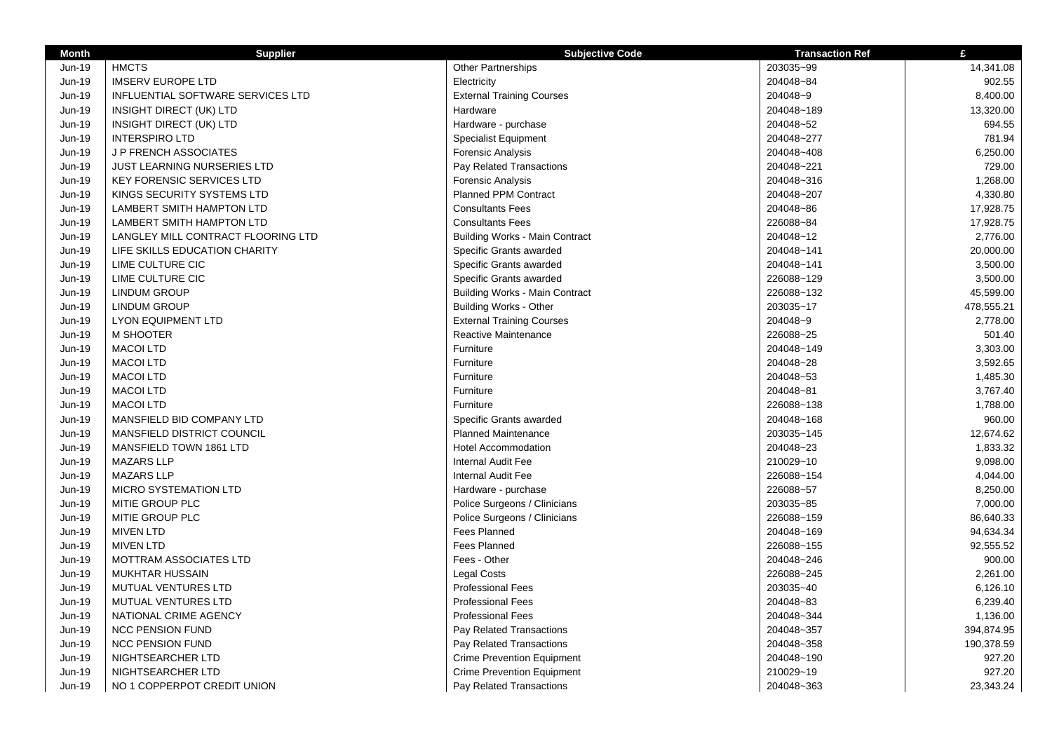| <b>Month</b>  | <b>Supplier</b>                    | <b>Subjective Code</b>                | <b>Transaction Ref</b> | £          |
|---------------|------------------------------------|---------------------------------------|------------------------|------------|
| Jun-19        | <b>HMCTS</b>                       | Other Partnerships                    | 203035~99              | 14,341.08  |
| Jun-19        | <b>IMSERV EUROPE LTD</b>           | Electricity                           | 204048~84              | 902.55     |
| Jun-19        | INFLUENTIAL SOFTWARE SERVICES LTD  | <b>External Training Courses</b>      | 204048~9               | 8,400.00   |
| Jun-19        | <b>INSIGHT DIRECT (UK) LTD</b>     | Hardware                              | 204048~189             | 13,320.00  |
| Jun-19        | INSIGHT DIRECT (UK) LTD            | Hardware - purchase                   | 204048~52              | 694.55     |
| Jun-19        | <b>INTERSPIRO LTD</b>              | <b>Specialist Equipment</b>           | 204048~277             | 781.94     |
| Jun-19        | <b>JP FRENCH ASSOCIATES</b>        | Forensic Analysis                     | 204048~408             | 6,250.00   |
| Jun-19        | <b>JUST LEARNING NURSERIES LTD</b> | Pay Related Transactions              | 204048~221             | 729.00     |
| Jun-19        | <b>KEY FORENSIC SERVICES LTD</b>   | <b>Forensic Analysis</b>              | 204048~316             | 1,268.00   |
| Jun-19        | KINGS SECURITY SYSTEMS LTD         | <b>Planned PPM Contract</b>           | 204048~207             | 4,330.80   |
| Jun-19        | <b>LAMBERT SMITH HAMPTON LTD</b>   | <b>Consultants Fees</b>               | 204048~86              | 17,928.75  |
| Jun-19        | LAMBERT SMITH HAMPTON LTD          | <b>Consultants Fees</b>               | 226088~84              | 17,928.75  |
| Jun-19        | LANGLEY MILL CONTRACT FLOORING LTD | <b>Building Works - Main Contract</b> | 204048~12              | 2,776.00   |
| <b>Jun-19</b> | LIFE SKILLS EDUCATION CHARITY      | Specific Grants awarded               | 204048~141             | 20,000.00  |
| Jun-19        | LIME CULTURE CIC                   | Specific Grants awarded               | 204048~141             | 3,500.00   |
| <b>Jun-19</b> | LIME CULTURE CIC                   | Specific Grants awarded               | 226088~129             | 3,500.00   |
| <b>Jun-19</b> | <b>LINDUM GROUP</b>                | <b>Building Works - Main Contract</b> | 226088~132             | 45,599.00  |
| Jun-19        | <b>LINDUM GROUP</b>                | <b>Building Works - Other</b>         | 203035~17              | 478,555.21 |
| <b>Jun-19</b> | LYON EQUIPMENT LTD                 | <b>External Training Courses</b>      | 204048~9               | 2,778.00   |
| Jun-19        | M SHOOTER                          | <b>Reactive Maintenance</b>           | 226088~25              | 501.40     |
| Jun-19        | <b>MACOI LTD</b>                   | Furniture                             | 204048~149             | 3,303.00   |
| <b>Jun-19</b> | <b>MACOI LTD</b>                   | Furniture                             | 204048~28              | 3,592.65   |
| Jun-19        | <b>MACOI LTD</b>                   | Furniture                             | 204048~53              | 1,485.30   |
| Jun-19        | <b>MACOI LTD</b>                   | Furniture                             | 204048~81              | 3,767.40   |
| <b>Jun-19</b> | <b>MACOI LTD</b>                   | Furniture                             | 226088~138             | 1,788.00   |
| Jun-19        | MANSFIELD BID COMPANY LTD          | Specific Grants awarded               | 204048~168             | 960.00     |
| <b>Jun-19</b> | MANSFIELD DISTRICT COUNCIL         | <b>Planned Maintenance</b>            | 203035~145             | 12,674.62  |
| Jun-19        | MANSFIELD TOWN 1861 LTD            | Hotel Accommodation                   | 204048~23              | 1,833.32   |
| Jun-19        | <b>MAZARS LLP</b>                  | <b>Internal Audit Fee</b>             | 210029~10              | 9,098.00   |
| Jun-19        | <b>MAZARS LLP</b>                  | Internal Audit Fee                    | 226088~154             | 4,044.00   |
| Jun-19        | MICRO SYSTEMATION LTD              | Hardware - purchase                   | 226088~57              | 8,250.00   |
| Jun-19        | MITIE GROUP PLC                    | Police Surgeons / Clinicians          | 203035~85              | 7,000.00   |
| <b>Jun-19</b> | MITIE GROUP PLC                    | Police Surgeons / Clinicians          | 226088~159             | 86,640.33  |
| Jun-19        | <b>MIVEN LTD</b>                   | <b>Fees Planned</b>                   | 204048~169             | 94,634.34  |
| Jun-19        | <b>MIVEN LTD</b>                   | <b>Fees Planned</b>                   | 226088~155             | 92,555.52  |
| Jun-19        | MOTTRAM ASSOCIATES LTD             | Fees - Other                          | 204048~246             | 900.00     |
| Jun-19        | <b>MUKHTAR HUSSAIN</b>             | <b>Legal Costs</b>                    | 226088~245             | 2,261.00   |
| Jun-19        | MUTUAL VENTURES LTD                | <b>Professional Fees</b>              | 203035~40              | 6,126.10   |
| Jun-19        | MUTUAL VENTURES LTD                | <b>Professional Fees</b>              | 204048~83              | 6,239.40   |
| Jun-19        | NATIONAL CRIME AGENCY              | <b>Professional Fees</b>              | 204048~344             | 1,136.00   |
| Jun-19        | <b>NCC PENSION FUND</b>            | Pay Related Transactions              | 204048~357             | 394,874.95 |
| $Jun-19$      | <b>NCC PENSION FUND</b>            | Pay Related Transactions              | 204048~358             | 190,378.59 |
| Jun-19        | NIGHTSEARCHER LTD                  | <b>Crime Prevention Equipment</b>     | 204048~190             | 927.20     |
| Jun-19        | NIGHTSEARCHER LTD                  | <b>Crime Prevention Equipment</b>     | 210029~19              | 927.20     |
| Jun-19        | NO 1 COPPERPOT CREDIT UNION        | Pay Related Transactions              | 204048~363             | 23,343.24  |
|               |                                    |                                       |                        |            |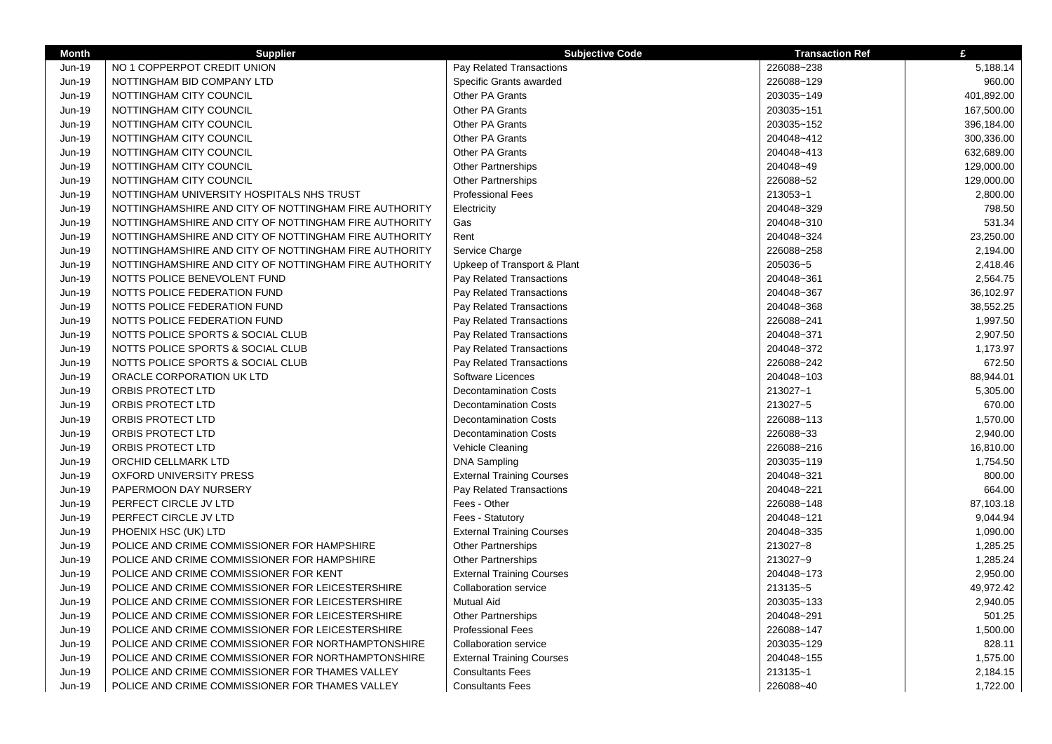| <b>Month</b>  | <b>Supplier</b>                                       | <b>Subjective Code</b>           | <b>Transaction Ref</b> | £          |
|---------------|-------------------------------------------------------|----------------------------------|------------------------|------------|
| Jun-19        | NO 1 COPPERPOT CREDIT UNION                           | Pay Related Transactions         | 226088~238             | 5,188.14   |
| Jun-19        | NOTTINGHAM BID COMPANY LTD                            | Specific Grants awarded          | 226088~129             | 960.00     |
| Jun-19        | NOTTINGHAM CITY COUNCIL                               | Other PA Grants                  | 203035~149             | 401,892.00 |
| Jun-19        | NOTTINGHAM CITY COUNCIL                               | Other PA Grants                  | 203035~151             | 167,500.00 |
| Jun-19        | NOTTINGHAM CITY COUNCIL                               | <b>Other PA Grants</b>           | 203035~152             | 396,184.00 |
| Jun-19        | NOTTINGHAM CITY COUNCIL                               | <b>Other PA Grants</b>           | 204048~412             | 300,336.00 |
| Jun-19        | NOTTINGHAM CITY COUNCIL                               | Other PA Grants                  | 204048~413             | 632,689.00 |
| Jun-19        | NOTTINGHAM CITY COUNCIL                               | <b>Other Partnerships</b>        | 204048~49              | 129,000.00 |
| Jun-19        | NOTTINGHAM CITY COUNCIL                               | <b>Other Partnerships</b>        | 226088~52              | 129,000.00 |
| Jun-19        | NOTTINGHAM UNIVERSITY HOSPITALS NHS TRUST             | <b>Professional Fees</b>         | 213053~1               | 2,800.00   |
| Jun-19        | NOTTINGHAMSHIRE AND CITY OF NOTTINGHAM FIRE AUTHORITY | Electricity                      | 204048~329             | 798.50     |
| Jun-19        | NOTTINGHAMSHIRE AND CITY OF NOTTINGHAM FIRE AUTHORITY | Gas                              | 204048~310             | 531.34     |
| Jun-19        | NOTTINGHAMSHIRE AND CITY OF NOTTINGHAM FIRE AUTHORITY | Rent                             | 204048~324             | 23,250.00  |
| Jun-19        | NOTTINGHAMSHIRE AND CITY OF NOTTINGHAM FIRE AUTHORITY | Service Charge                   | 226088~258             | 2,194.00   |
| Jun-19        | NOTTINGHAMSHIRE AND CITY OF NOTTINGHAM FIRE AUTHORITY | Upkeep of Transport & Plant      | 205036~5               | 2,418.46   |
| Jun-19        | NOTTS POLICE BENEVOLENT FUND                          | Pay Related Transactions         | 204048~361             | 2,564.75   |
| Jun-19        | NOTTS POLICE FEDERATION FUND                          | Pay Related Transactions         | 204048~367             | 36,102.97  |
| Jun-19        | NOTTS POLICE FEDERATION FUND                          | Pay Related Transactions         | 204048~368             | 38,552.25  |
| Jun-19        | NOTTS POLICE FEDERATION FUND                          | Pay Related Transactions         | 226088~241             | 1,997.50   |
| Jun-19        | NOTTS POLICE SPORTS & SOCIAL CLUB                     | Pay Related Transactions         | 204048~371             | 2,907.50   |
| Jun-19        | NOTTS POLICE SPORTS & SOCIAL CLUB                     | Pay Related Transactions         | 204048~372             | 1,173.97   |
| Jun-19        | NOTTS POLICE SPORTS & SOCIAL CLUB                     | Pay Related Transactions         | 226088~242             | 672.50     |
| Jun-19        | ORACLE CORPORATION UK LTD                             | Software Licences                | 204048~103             | 88,944.01  |
| Jun-19        | ORBIS PROTECT LTD                                     | <b>Decontamination Costs</b>     | 213027~1               | 5,305.00   |
| Jun-19        | ORBIS PROTECT LTD                                     | <b>Decontamination Costs</b>     | 213027~5               | 670.00     |
| Jun-19        | ORBIS PROTECT LTD                                     | <b>Decontamination Costs</b>     | 226088~113             | 1,570.00   |
| Jun-19        | ORBIS PROTECT LTD                                     | <b>Decontamination Costs</b>     | 226088~33              | 2,940.00   |
| Jun-19        | ORBIS PROTECT LTD                                     | Vehicle Cleaning                 | 226088~216             | 16,810.00  |
| Jun-19        | ORCHID CELLMARK LTD                                   | <b>DNA Sampling</b>              | 203035~119             | 1,754.50   |
| Jun-19        | <b>OXFORD UNIVERSITY PRESS</b>                        | <b>External Training Courses</b> | 204048~321             | 800.00     |
| Jun-19        | PAPERMOON DAY NURSERY                                 | Pay Related Transactions         | 204048~221             | 664.00     |
| Jun-19        | PERFECT CIRCLE JV LTD                                 | Fees - Other                     | 226088~148             | 87,103.18  |
| Jun-19        | PERFECT CIRCLE JV LTD                                 | Fees - Statutory                 | 204048~121             | 9,044.94   |
| Jun-19        | PHOENIX HSC (UK) LTD                                  | <b>External Training Courses</b> | 204048~335             | 1,090.00   |
| Jun-19        | POLICE AND CRIME COMMISSIONER FOR HAMPSHIRE           | Other Partnerships               | 213027~8               | 1,285.25   |
| Jun-19        | POLICE AND CRIME COMMISSIONER FOR HAMPSHIRE           | Other Partnerships               | 213027~9               | 1,285.24   |
| Jun-19        | POLICE AND CRIME COMMISSIONER FOR KENT                | <b>External Training Courses</b> | 204048~173             | 2,950.00   |
| Jun-19        | POLICE AND CRIME COMMISSIONER FOR LEICESTERSHIRE      | <b>Collaboration service</b>     | 213135~5               | 49,972.42  |
| Jun-19        | POLICE AND CRIME COMMISSIONER FOR LEICESTERSHIRE      | <b>Mutual Aid</b>                | 203035~133             | 2,940.05   |
| Jun-19        | POLICE AND CRIME COMMISSIONER FOR LEICESTERSHIRE      | Other Partnerships               | 204048~291             | 501.25     |
| Jun-19        | POLICE AND CRIME COMMISSIONER FOR LEICESTERSHIRE      | <b>Professional Fees</b>         | 226088~147             | 1,500.00   |
| Jun-19        | POLICE AND CRIME COMMISSIONER FOR NORTHAMPTONSHIRE    | <b>Collaboration service</b>     | 203035~129             | 828.11     |
| <b>Jun-19</b> | POLICE AND CRIME COMMISSIONER FOR NORTHAMPTONSHIRE    | <b>External Training Courses</b> | 204048~155             | 1,575.00   |
| Jun-19        | POLICE AND CRIME COMMISSIONER FOR THAMES VALLEY       | <b>Consultants Fees</b>          | 213135~1               | 2,184.15   |
| Jun-19        | POLICE AND CRIME COMMISSIONER FOR THAMES VALLEY       | <b>Consultants Fees</b>          | 226088~40              | 1,722.00   |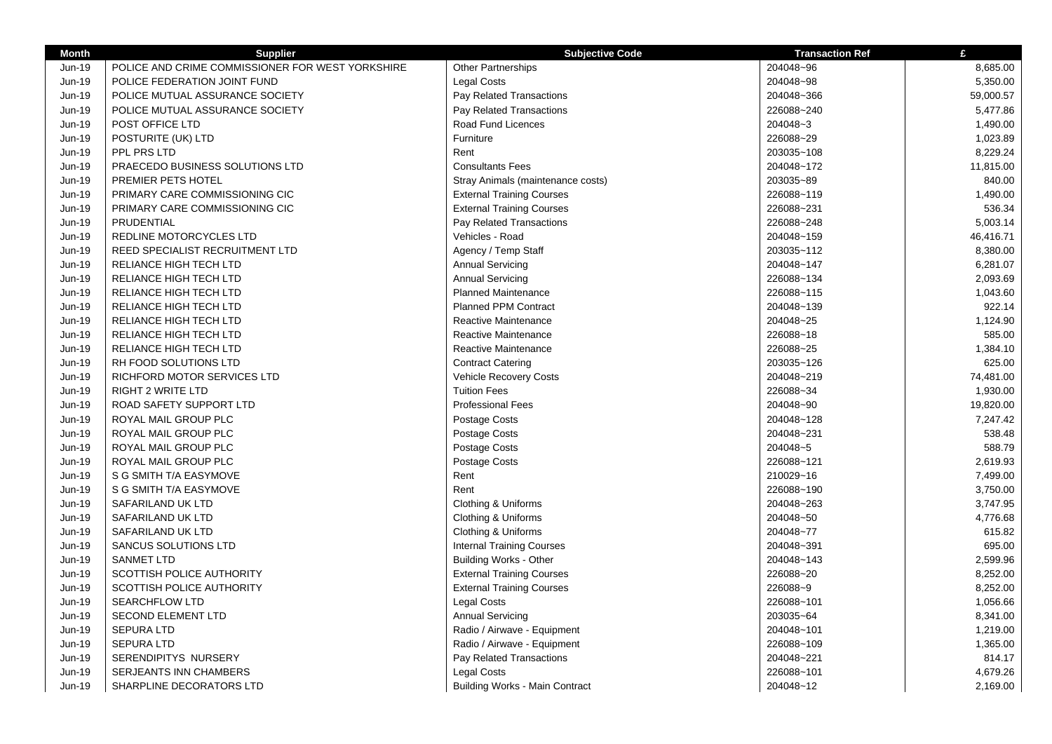| <b>Month</b>  | <b>Supplier</b>                                  | <b>Subjective Code</b>                | <b>Transaction Ref</b> | £         |
|---------------|--------------------------------------------------|---------------------------------------|------------------------|-----------|
| Jun-19        | POLICE AND CRIME COMMISSIONER FOR WEST YORKSHIRE | <b>Other Partnerships</b>             | 204048~96              | 8,685.00  |
| Jun-19        | POLICE FEDERATION JOINT FUND                     | <b>Legal Costs</b>                    | 204048~98              | 5,350.00  |
| Jun-19        | POLICE MUTUAL ASSURANCE SOCIETY                  | Pay Related Transactions              | 204048~366             | 59,000.57 |
| Jun-19        | POLICE MUTUAL ASSURANCE SOCIETY                  | Pay Related Transactions              | 226088~240             | 5,477.86  |
| Jun-19        | POST OFFICE LTD                                  | Road Fund Licences                    | 204048~3               | 1,490.00  |
| <b>Jun-19</b> | POSTURITE (UK) LTD                               | Furniture                             | 226088~29              | 1,023.89  |
| Jun-19        | PPL PRS LTD                                      | Rent                                  | 203035~108             | 8,229.24  |
| Jun-19        | PRAECEDO BUSINESS SOLUTIONS LTD                  | <b>Consultants Fees</b>               | 204048~172             | 11,815.00 |
| <b>Jun-19</b> | PREMIER PETS HOTEL                               | Stray Animals (maintenance costs)     | 203035~89              | 840.00    |
| Jun-19        | PRIMARY CARE COMMISSIONING CIC                   | <b>External Training Courses</b>      | 226088~119             | 1,490.00  |
| <b>Jun-19</b> | PRIMARY CARE COMMISSIONING CIC                   | <b>External Training Courses</b>      | 226088~231             | 536.34    |
| Jun-19        | PRUDENTIAL                                       | Pay Related Transactions              | 226088~248             | 5,003.14  |
| Jun-19        | REDLINE MOTORCYCLES LTD                          | Vehicles - Road                       | 204048~159             | 46,416.71 |
| Jun-19        | REED SPECIALIST RECRUITMENT LTD                  | Agency / Temp Staff                   | 203035~112             | 8,380.00  |
| Jun-19        | RELIANCE HIGH TECH LTD                           | <b>Annual Servicing</b>               | 204048~147             | 6,281.07  |
| Jun-19        | RELIANCE HIGH TECH LTD                           | <b>Annual Servicing</b>               | 226088~134             | 2,093.69  |
| <b>Jun-19</b> | RELIANCE HIGH TECH LTD                           | <b>Planned Maintenance</b>            | 226088~115             | 1,043.60  |
| Jun-19        | RELIANCE HIGH TECH LTD                           | <b>Planned PPM Contract</b>           | 204048~139             | 922.14    |
| <b>Jun-19</b> | RELIANCE HIGH TECH LTD                           | Reactive Maintenance                  | 204048~25              | 1,124.90  |
| Jun-19        | RELIANCE HIGH TECH LTD                           | Reactive Maintenance                  | 226088~18              | 585.00    |
| Jun-19        | RELIANCE HIGH TECH LTD                           | Reactive Maintenance                  | 226088~25              | 1,384.10  |
| Jun-19        | RH FOOD SOLUTIONS LTD                            | <b>Contract Catering</b>              | 203035~126             | 625.00    |
| Jun-19        | RICHFORD MOTOR SERVICES LTD                      | <b>Vehicle Recovery Costs</b>         | 204048~219             | 74,481.00 |
| Jun-19        | <b>RIGHT 2 WRITE LTD</b>                         | <b>Tuition Fees</b>                   | 226088~34              | 1,930.00  |
| Jun-19        | ROAD SAFETY SUPPORT LTD                          | <b>Professional Fees</b>              | 204048~90              | 19,820.00 |
| Jun-19        | ROYAL MAIL GROUP PLC                             | Postage Costs                         | 204048~128             | 7,247.42  |
| Jun-19        | ROYAL MAIL GROUP PLC                             | Postage Costs                         | 204048~231             | 538.48    |
| Jun-19        | ROYAL MAIL GROUP PLC                             | Postage Costs                         | 204048~5               | 588.79    |
| Jun-19        | ROYAL MAIL GROUP PLC                             | Postage Costs                         | 226088~121             | 2,619.93  |
| Jun-19        | S G SMITH T/A EASYMOVE                           | Rent                                  | 210029~16              | 7,499.00  |
| Jun-19        | S G SMITH T/A EASYMOVE                           | Rent                                  | 226088~190             | 3,750.00  |
| Jun-19        | SAFARILAND UK LTD                                | Clothing & Uniforms                   | 204048~263             | 3,747.95  |
| Jun-19        | SAFARILAND UK LTD                                | Clothing & Uniforms                   | 204048~50              | 4,776.68  |
| Jun-19        | SAFARILAND UK LTD                                | Clothing & Uniforms                   | 204048~77              | 615.82    |
| Jun-19        | SANCUS SOLUTIONS LTD                             | <b>Internal Training Courses</b>      | 204048~391             | 695.00    |
| Jun-19        | <b>SANMET LTD</b>                                | <b>Building Works - Other</b>         | 204048~143             | 2,599.96  |
| Jun-19        | SCOTTISH POLICE AUTHORITY                        | <b>External Training Courses</b>      | 226088~20              | 8,252.00  |
| Jun-19        | SCOTTISH POLICE AUTHORITY                        | <b>External Training Courses</b>      | 226088~9               | 8,252.00  |
| Jun-19        | <b>SEARCHFLOW LTD</b>                            | <b>Legal Costs</b>                    | 226088~101             | 1,056.66  |
| Jun-19        | <b>SECOND ELEMENT LTD</b>                        | <b>Annual Servicing</b>               | 203035~64              | 8,341.00  |
| Jun-19        | <b>SEPURA LTD</b>                                | Radio / Airwave - Equipment           | 204048~101             | 1,219.00  |
| Jun-19        | <b>SEPURA LTD</b>                                | Radio / Airwave - Equipment           | 226088~109             | 1,365.00  |
| Jun-19        | SERENDIPITYS NURSERY                             | Pay Related Transactions              | 204048~221             | 814.17    |
| Jun-19        | SERJEANTS INN CHAMBERS                           | <b>Legal Costs</b>                    | 226088~101             | 4,679.26  |
| Jun-19        | SHARPLINE DECORATORS LTD                         | <b>Building Works - Main Contract</b> | 204048~12              | 2,169.00  |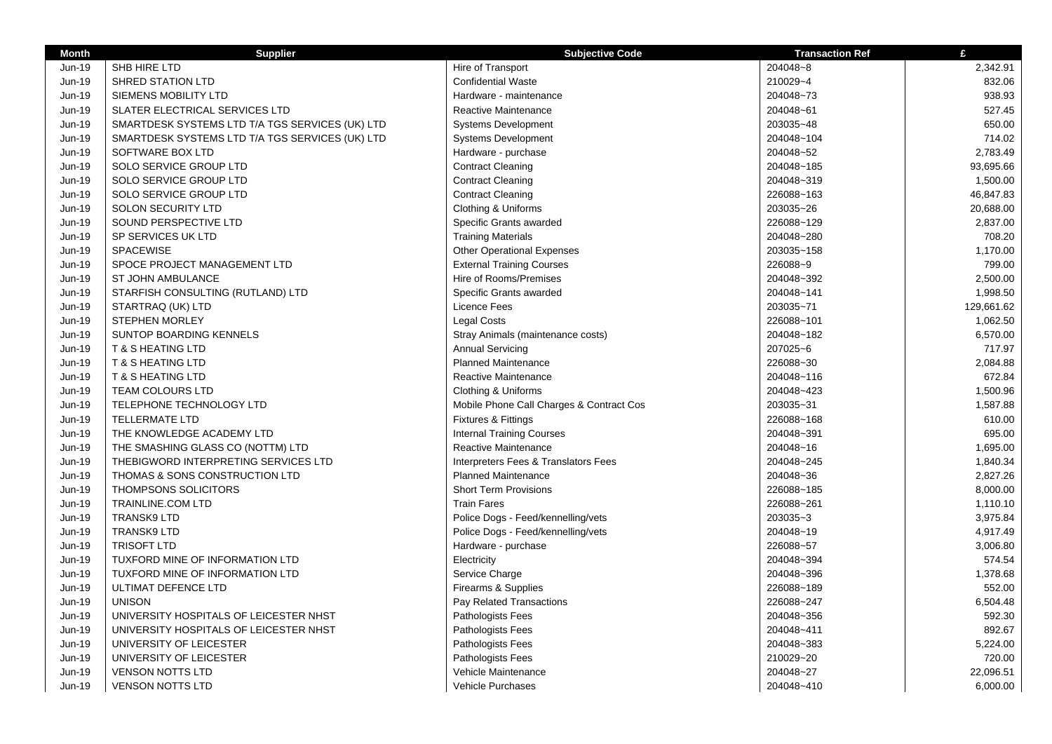| <b>Month</b>  | <b>Supplier</b>                                 | <b>Subjective Code</b>                   | <b>Transaction Ref</b> | £          |
|---------------|-------------------------------------------------|------------------------------------------|------------------------|------------|
| Jun-19        | SHB HIRE LTD                                    | Hire of Transport                        | 204048~8               | 2,342.91   |
| Jun-19        | <b>SHRED STATION LTD</b>                        | <b>Confidential Waste</b>                | 210029~4               | 832.06     |
| <b>Jun-19</b> | SIEMENS MOBILITY LTD                            | Hardware - maintenance                   | 204048~73              | 938.93     |
| Jun-19        | SLATER ELECTRICAL SERVICES LTD                  | <b>Reactive Maintenance</b>              | 204048~61              | 527.45     |
| Jun-19        | SMARTDESK SYSTEMS LTD T/A TGS SERVICES (UK) LTD | <b>Systems Development</b>               | 203035~48              | 650.00     |
| Jun-19        | SMARTDESK SYSTEMS LTD T/A TGS SERVICES (UK) LTD | <b>Systems Development</b>               | 204048~104             | 714.02     |
| Jun-19        | SOFTWARE BOX LTD                                | Hardware - purchase                      | 204048~52              | 2,783.49   |
| Jun-19        | SOLO SERVICE GROUP LTD                          | <b>Contract Cleaning</b>                 | 204048~185             | 93,695.66  |
| Jun-19        | SOLO SERVICE GROUP LTD                          | <b>Contract Cleaning</b>                 | 204048~319             | 1,500.00   |
| Jun-19        | SOLO SERVICE GROUP LTD                          | <b>Contract Cleaning</b>                 | 226088~163             | 46,847.83  |
| Jun-19        | SOLON SECURITY LTD                              | Clothing & Uniforms                      | 203035~26              | 20,688.00  |
| Jun-19        | SOUND PERSPECTIVE LTD                           | Specific Grants awarded                  | 226088~129             | 2,837.00   |
| Jun-19        | SP SERVICES UK LTD                              | <b>Training Materials</b>                | 204048~280             | 708.20     |
| Jun-19        | <b>SPACEWISE</b>                                | <b>Other Operational Expenses</b>        | 203035~158             | 1,170.00   |
| Jun-19        | SPOCE PROJECT MANAGEMENT LTD                    | <b>External Training Courses</b>         | 226088~9               | 799.00     |
| Jun-19        | ST JOHN AMBULANCE                               | Hire of Rooms/Premises                   | 204048~392             | 2,500.00   |
| Jun-19        | STARFISH CONSULTING (RUTLAND) LTD               | Specific Grants awarded                  | 204048~141             | 1,998.50   |
| Jun-19        | STARTRAQ (UK) LTD                               | <b>Licence Fees</b>                      | 203035~71              | 129,661.62 |
| Jun-19        | <b>STEPHEN MORLEY</b>                           | <b>Legal Costs</b>                       | 226088~101             | 1,062.50   |
| Jun-19        | SUNTOP BOARDING KENNELS                         | Stray Animals (maintenance costs)        | 204048~182             | 6,570.00   |
| Jun-19        | <b>T &amp; S HEATING LTD</b>                    | <b>Annual Servicing</b>                  | 207025~6               | 717.97     |
| Jun-19        | <b>T &amp; S HEATING LTD</b>                    | <b>Planned Maintenance</b>               | 226088~30              | 2,084.88   |
| Jun-19        | <b>T &amp; S HEATING LTD</b>                    | <b>Reactive Maintenance</b>              | 204048~116             | 672.84     |
| Jun-19        | <b>TEAM COLOURS LTD</b>                         | Clothing & Uniforms                      | 204048~423             | 1,500.96   |
| Jun-19        | TELEPHONE TECHNOLOGY LTD                        | Mobile Phone Call Charges & Contract Cos | 203035~31              | 1,587.88   |
| Jun-19        | <b>TELLERMATE LTD</b>                           | <b>Fixtures &amp; Fittings</b>           | 226088~168             | 610.00     |
| Jun-19        | THE KNOWLEDGE ACADEMY LTD                       | <b>Internal Training Courses</b>         | 204048~391             | 695.00     |
| Jun-19        | THE SMASHING GLASS CO (NOTTM) LTD               | Reactive Maintenance                     | 204048~16              | 1,695.00   |
| Jun-19        | THEBIGWORD INTERPRETING SERVICES LTD            | Interpreters Fees & Translators Fees     | 204048~245             | 1,840.34   |
| Jun-19        | THOMAS & SONS CONSTRUCTION LTD                  | <b>Planned Maintenance</b>               | 204048~36              | 2,827.26   |
| Jun-19        | THOMPSONS SOLICITORS                            | <b>Short Term Provisions</b>             | 226088~185             | 8,000.00   |
| Jun-19        | <b>TRAINLINE.COM LTD</b>                        | <b>Train Fares</b>                       | 226088~261             | 1,110.10   |
| Jun-19        | <b>TRANSK9 LTD</b>                              | Police Dogs - Feed/kennelling/vets       | 203035~3               | 3,975.84   |
| Jun-19        | <b>TRANSK9 LTD</b>                              | Police Dogs - Feed/kennelling/vets       | 204048~19              | 4,917.49   |
| Jun-19        | <b>TRISOFT LTD</b>                              | Hardware - purchase                      | 226088~57              | 3,006.80   |
| Jun-19        | TUXFORD MINE OF INFORMATION LTD                 | Electricity                              | 204048~394             | 574.54     |
| Jun-19        | TUXFORD MINE OF INFORMATION LTD                 | Service Charge                           | 204048~396             | 1,378.68   |
| Jun-19        | ULTIMAT DEFENCE LTD                             | Firearms & Supplies                      | 226088~189             | 552.00     |
| Jun-19        | <b>UNISON</b>                                   | Pay Related Transactions                 | 226088~247             | 6,504.48   |
| Jun-19        | UNIVERSITY HOSPITALS OF LEICESTER NHST          | Pathologists Fees                        | 204048~356             | 592.30     |
| <b>Jun-19</b> | UNIVERSITY HOSPITALS OF LEICESTER NHST          | Pathologists Fees                        | 204048~411             | 892.67     |
| Jun-19        | UNIVERSITY OF LEICESTER                         | Pathologists Fees                        | 204048~383             | 5,224.00   |
| Jun-19        | UNIVERSITY OF LEICESTER                         | Pathologists Fees                        | 210029~20              | 720.00     |
| Jun-19        | <b>VENSON NOTTS LTD</b>                         | Vehicle Maintenance                      | 204048~27              | 22,096.51  |
| Jun-19        | <b>VENSON NOTTS LTD</b>                         | <b>Vehicle Purchases</b>                 | 204048~410             | 6,000.00   |